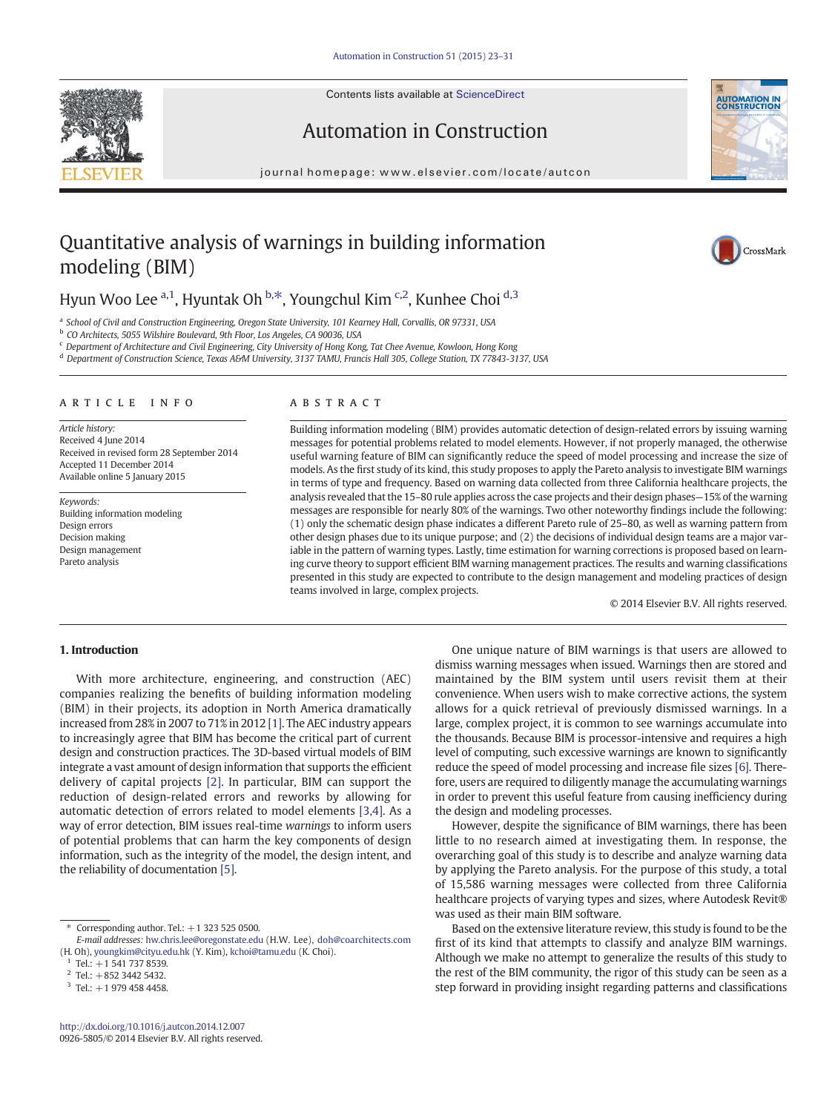Contents lists available at ScienceDirect





### Automation in Construction

journal homepage:<www.elsevier.com/locate/autcon>

## Quantitative analysis of warnings in building information modeling (BIM)

# CrossMark

### Hyun Woo Lee <sup>a, 1</sup>, Hyuntak Oh <sup>b, $\ast$ </sup>, Youngchul Kim <sup>c,2</sup>, Kunhee Choi <sup>d,3</sup>

<sup>a</sup> School of Civil and Construction Engineering, Oregon State University, 101 Kearney Hall, Corvallis, OR 97331, USA

<sup>b</sup> CO Architects, 5055 Wilshire Boulevard, 9th Floor, Los Angeles, CA 90036, USA

<sup>c</sup> Department of Architecture and Civil Engineering, City University of Hong Kong, Tat Chee Avenue, Kowloon, Hong Kong

<sup>d</sup> Department of Construction Science, Texas A&M University, 3137 TAMU, Francis Hall 305, College Station, TX 77843-3137, USA

#### article info abstract

Article history: Received 4 June 2014 Received in revised form 28 September 2014 Accepted 11 December 2014 Available online 5 January 2015

Keywords: Building information modeling Design errors Decision making Design management Pareto analysis

Building information modeling (BIM) provides automatic detection of design-related errors by issuing warning messages for potential problems related to model elements. However, if not properly managed, the otherwise useful warning feature of BIM can significantly reduce the speed of model processing and increase the size of models. As the first study of its kind, this study proposes to apply the Pareto analysis to investigate BIM warnings in terms of type and frequency. Based on warning data collected from three California healthcare projects, the analysis revealed that the 15–80 rule applies across the case projects and their design phases—15% of the warning messages are responsible for nearly 80% of the warnings. Two other noteworthy findings include the following: (1) only the schematic design phase indicates a different Pareto rule of 25–80, as well as warning pattern from other design phases due to its unique purpose; and (2) the decisions of individual design teams are a major variable in the pattern of warning types. Lastly, time estimation for warning corrections is proposed based on learning curve theory to support efficient BIM warning management practices. The results and warning classifications presented in this study are expected to contribute to the design management and modeling practices of design teams involved in large, complex projects.

© 2014 Elsevier B.V. All rights reserved.

### 1. Introduction

With more architecture, engineering, and construction (AEC) companies realizing the benefits of building information modeling (BIM) in their projects, its adoption in North America dramatically increased from 28% in 2007 to 71% in 2012 [\[1\]](#page--1-0). The AEC industry appears to increasingly agree that BIM has become the critical part of current design and construction practices. The 3D-based virtual models of BIM integrate a vast amount of design information that supports the efficient delivery of capital projects [\[2\].](#page--1-0) In particular, BIM can support the reduction of design-related errors and reworks by allowing for automatic detection of errors related to model elements [\[3,4\]](#page--1-0). As a way of error detection, BIM issues real-time warnings to inform users of potential problems that can harm the key components of design information, such as the integrity of the model, the design intent, and the reliability of documentation [\[5\]](#page--1-0).

One unique nature of BIM warnings is that users are allowed to dismiss warning messages when issued. Warnings then are stored and maintained by the BIM system until users revisit them at their convenience. When users wish to make corrective actions, the system allows for a quick retrieval of previously dismissed warnings. In a large, complex project, it is common to see warnings accumulate into the thousands. Because BIM is processor-intensive and requires a high level of computing, such excessive warnings are known to significantly reduce the speed of model processing and increase file sizes [\[6\]](#page--1-0). Therefore, users are required to diligently manage the accumulating warnings in order to prevent this useful feature from causing inefficiency during the design and modeling processes.

However, despite the significance of BIM warnings, there has been little to no research aimed at investigating them. In response, the overarching goal of this study is to describe and analyze warning data by applying the Pareto analysis. For the purpose of this study, a total of 15,586 warning messages were collected from three California healthcare projects of varying types and sizes, where Autodesk Revit® was used as their main BIM software.

Based on the extensive literature review, this study is found to be the first of its kind that attempts to classify and analyze BIM warnings. Although we make no attempt to generalize the results of this study to the rest of the BIM community, the rigor of this study can be seen as a step forward in providing insight regarding patterns and classifications

<sup>⁎</sup> Corresponding author. Tel.: +1 323 525 0500.

E-mail addresses: [hw.chris.lee@oregonstate.edu](mailto:) (H.W. Lee), [doh@coarchitects.com](mailto:) (H. Oh), [youngkim@cityu.edu.hk](mailto:) (Y. Kim), [kchoi@tamu.edu](mailto:) (K. Choi).

 $1$  Tel.: +1 541 737 8539.

 $Tel: +852\,3442\,5432.$ 

 $3$  Tel.:  $+1$  979 458 4458.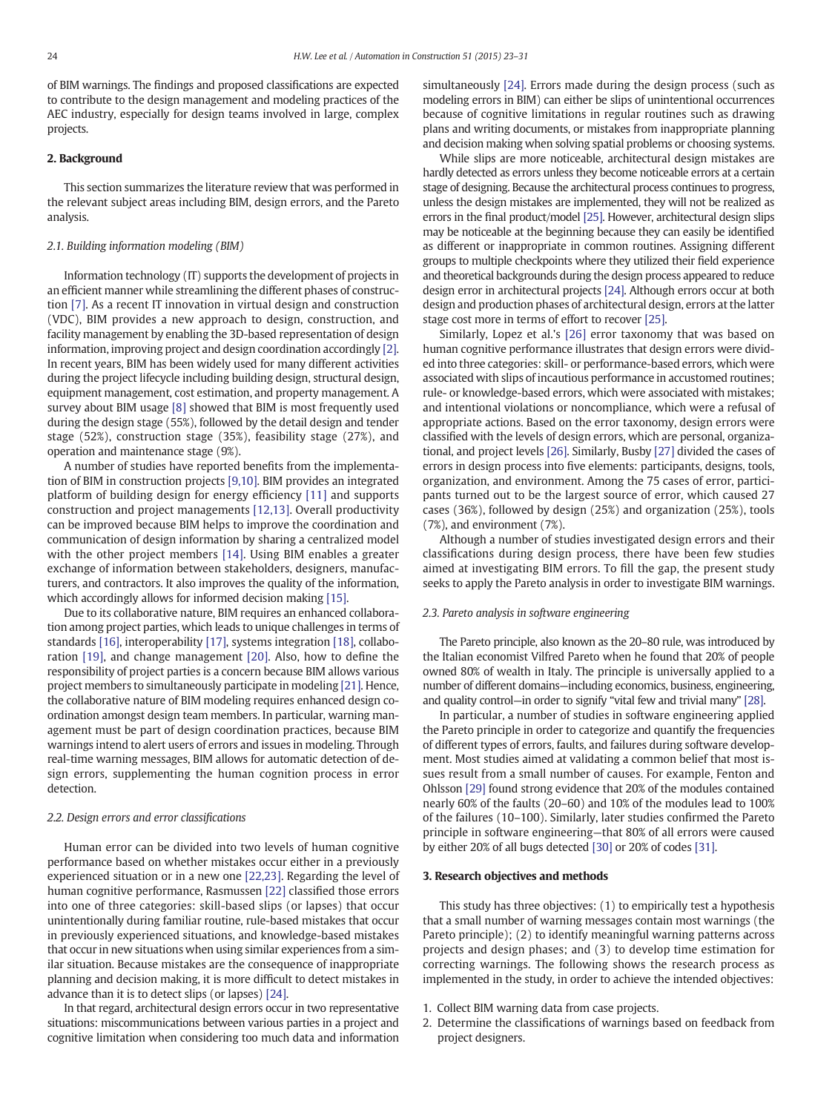of BIM warnings. The findings and proposed classifications are expected to contribute to the design management and modeling practices of the AEC industry, especially for design teams involved in large, complex projects.

### 2. Background

This section summarizes the literature review that was performed in the relevant subject areas including BIM, design errors, and the Pareto analysis.

#### 2.1. Building information modeling (BIM)

Information technology (IT) supports the development of projects in an efficient manner while streamlining the different phases of construction [\[7\]](#page--1-0). As a recent IT innovation in virtual design and construction (VDC), BIM provides a new approach to design, construction, and facility management by enabling the 3D-based representation of design information, improving project and design coordination accordingly [\[2\].](#page--1-0) In recent years, BIM has been widely used for many different activities during the project lifecycle including building design, structural design, equipment management, cost estimation, and property management. A survey about BIM usage [\[8\]](#page--1-0) showed that BIM is most frequently used during the design stage (55%), followed by the detail design and tender stage (52%), construction stage (35%), feasibility stage (27%), and operation and maintenance stage (9%).

A number of studies have reported benefits from the implementation of BIM in construction projects [\[9,10\]](#page--1-0). BIM provides an integrated platform of building design for energy efficiency [\[11\]](#page--1-0) and supports construction and project managements [\[12,13\].](#page--1-0) Overall productivity can be improved because BIM helps to improve the coordination and communication of design information by sharing a centralized model with the other project members [\[14\].](#page--1-0) Using BIM enables a greater exchange of information between stakeholders, designers, manufacturers, and contractors. It also improves the quality of the information, which accordingly allows for informed decision making [\[15\]](#page--1-0).

Due to its collaborative nature, BIM requires an enhanced collaboration among project parties, which leads to unique challenges in terms of standards [\[16\]](#page--1-0), interoperability [\[17\]](#page--1-0), systems integration [\[18\]](#page--1-0), collaboration [\[19\],](#page--1-0) and change management [\[20\]](#page--1-0). Also, how to define the responsibility of project parties is a concern because BIM allows various project members to simultaneously participate in modeling [\[21\]](#page--1-0). Hence, the collaborative nature of BIM modeling requires enhanced design coordination amongst design team members. In particular, warning management must be part of design coordination practices, because BIM warnings intend to alert users of errors and issues in modeling. Through real-time warning messages, BIM allows for automatic detection of design errors, supplementing the human cognition process in error detection.

#### 2.2. Design errors and error classifications

Human error can be divided into two levels of human cognitive performance based on whether mistakes occur either in a previously experienced situation or in a new one [\[22,23\].](#page--1-0) Regarding the level of human cognitive performance, Rasmussen [\[22\]](#page--1-0) classified those errors into one of three categories: skill-based slips (or lapses) that occur unintentionally during familiar routine, rule-based mistakes that occur in previously experienced situations, and knowledge-based mistakes that occur in new situations when using similar experiences from a similar situation. Because mistakes are the consequence of inappropriate planning and decision making, it is more difficult to detect mistakes in advance than it is to detect slips (or lapses) [\[24\]](#page--1-0).

In that regard, architectural design errors occur in two representative situations: miscommunications between various parties in a project and cognitive limitation when considering too much data and information simultaneously [\[24\].](#page--1-0) Errors made during the design process (such as modeling errors in BIM) can either be slips of unintentional occurrences because of cognitive limitations in regular routines such as drawing plans and writing documents, or mistakes from inappropriate planning and decision making when solving spatial problems or choosing systems.

While slips are more noticeable, architectural design mistakes are hardly detected as errors unless they become noticeable errors at a certain stage of designing. Because the architectural process continues to progress, unless the design mistakes are implemented, they will not be realized as errors in the final product/model [\[25\].](#page--1-0) However, architectural design slips may be noticeable at the beginning because they can easily be identified as different or inappropriate in common routines. Assigning different groups to multiple checkpoints where they utilized their field experience and theoretical backgrounds during the design process appeared to reduce design error in architectural projects [\[24\]](#page--1-0). Although errors occur at both design and production phases of architectural design, errors at the latter stage cost more in terms of effort to recover [\[25\]](#page--1-0).

Similarly, Lopez et al.'s [\[26\]](#page--1-0) error taxonomy that was based on human cognitive performance illustrates that design errors were divided into three categories: skill- or performance-based errors, which were associated with slips of incautious performance in accustomed routines; rule- or knowledge-based errors, which were associated with mistakes; and intentional violations or noncompliance, which were a refusal of appropriate actions. Based on the error taxonomy, design errors were classified with the levels of design errors, which are personal, organizational, and project levels [\[26\].](#page--1-0) Similarly, Busby [\[27\]](#page--1-0) divided the cases of errors in design process into five elements: participants, designs, tools, organization, and environment. Among the 75 cases of error, participants turned out to be the largest source of error, which caused 27 cases (36%), followed by design (25%) and organization (25%), tools (7%), and environment (7%).

Although a number of studies investigated design errors and their classifications during design process, there have been few studies aimed at investigating BIM errors. To fill the gap, the present study seeks to apply the Pareto analysis in order to investigate BIM warnings.

#### 2.3. Pareto analysis in software engineering

The Pareto principle, also known as the 20–80 rule, was introduced by the Italian economist Vilfred Pareto when he found that 20% of people owned 80% of wealth in Italy. The principle is universally applied to a number of different domains—including economics, business, engineering, and quality control—in order to signify "vital few and trivial many" [\[28\].](#page--1-0)

In particular, a number of studies in software engineering applied the Pareto principle in order to categorize and quantify the frequencies of different types of errors, faults, and failures during software development. Most studies aimed at validating a common belief that most issues result from a small number of causes. For example, Fenton and Ohlsson [\[29\]](#page--1-0) found strong evidence that 20% of the modules contained nearly 60% of the faults (20–60) and 10% of the modules lead to 100% of the failures (10–100). Similarly, later studies confirmed the Pareto principle in software engineering—that 80% of all errors were caused by either 20% of all bugs detected [\[30\]](#page--1-0) or 20% of codes [\[31\]](#page--1-0).

#### 3. Research objectives and methods

This study has three objectives: (1) to empirically test a hypothesis that a small number of warning messages contain most warnings (the Pareto principle); (2) to identify meaningful warning patterns across projects and design phases; and (3) to develop time estimation for correcting warnings. The following shows the research process as implemented in the study, in order to achieve the intended objectives:

- 1. Collect BIM warning data from case projects.
- 2. Determine the classifications of warnings based on feedback from project designers.